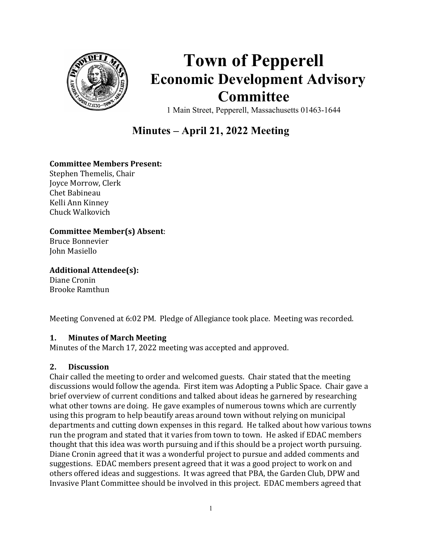

# Town of Pepperell Economic Development Advisory Committee

1 Main Street, Pepperell, Massachusetts 01463-1644

# Minutes – April 21, 2022 Meeting

# Committee Members Present:

Stephen Themelis, Chair Joyce Morrow, Clerk Chet Babineau Kelli Ann Kinney Chuck Walkovich

#### Committee Member(s) Absent:

Bruce Bonnevier John Masiello

Additional Attendee(s):

Diane Cronin Brooke Ramthun

Meeting Convened at 6:02 PM. Pledge of Allegiance took place. Meeting was recorded.

#### 1. Minutes of March Meeting

Minutes of the March 17, 2022 meeting was accepted and approved.

# 2. Discussion

Chair called the meeting to order and welcomed guests. Chair stated that the meeting discussions would follow the agenda. First item was Adopting a Public Space. Chair gave a brief overview of current conditions and talked about ideas he garnered by researching what other towns are doing. He gave examples of numerous towns which are currently using this program to help beautify areas around town without relying on municipal departments and cutting down expenses in this regard. He talked about how various towns run the program and stated that it varies from town to town. He asked if EDAC members thought that this idea was worth pursuing and if this should be a project worth pursuing. Diane Cronin agreed that it was a wonderful project to pursue and added comments and suggestions. EDAC members present agreed that it was a good project to work on and others offered ideas and suggestions. It was agreed that PBA, the Garden Club, DPW and Invasive Plant Committee should be involved in this project. EDAC members agreed that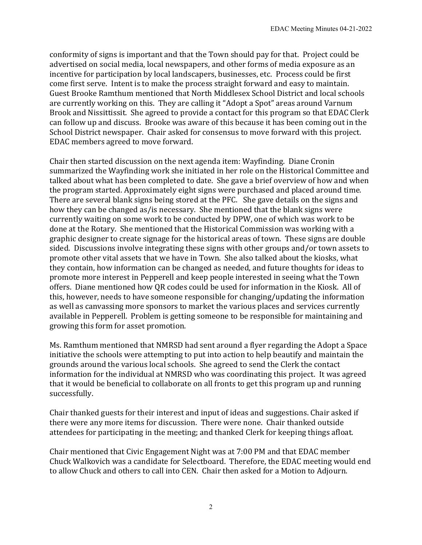conformity of signs is important and that the Town should pay for that. Project could be advertised on social media, local newspapers, and other forms of media exposure as an incentive for participation by local landscapers, businesses, etc. Process could be first come first serve. Intent is to make the process straight forward and easy to maintain. Guest Brooke Ramthum mentioned that North Middlesex School District and local schools are currently working on this. They are calling it "Adopt a Spot" areas around Varnum Brook and Nissittissit. She agreed to provide a contact for this program so that EDAC Clerk can follow up and discuss. Brooke was aware of this because it has been coming out in the School District newspaper. Chair asked for consensus to move forward with this project. EDAC members agreed to move forward.

Chair then started discussion on the next agenda item: Wayfinding. Diane Cronin summarized the Wayfinding work she initiated in her role on the Historical Committee and talked about what has been completed to date. She gave a brief overview of how and when the program started. Approximately eight signs were purchased and placed around time. There are several blank signs being stored at the PFC. She gave details on the signs and how they can be changed as/is necessary. She mentioned that the blank signs were currently waiting on some work to be conducted by DPW, one of which was work to be done at the Rotary. She mentioned that the Historical Commission was working with a graphic designer to create signage for the historical areas of town. These signs are double sided. Discussions involve integrating these signs with other groups and/or town assets to promote other vital assets that we have in Town. She also talked about the kiosks, what they contain, how information can be changed as needed, and future thoughts for ideas to promote more interest in Pepperell and keep people interested in seeing what the Town offers. Diane mentioned how QR codes could be used for information in the Kiosk. All of this, however, needs to have someone responsible for changing/updating the information as well as canvassing more sponsors to market the various places and services currently available in Pepperell. Problem is getting someone to be responsible for maintaining and growing this form for asset promotion.

Ms. Ramthum mentioned that NMRSD had sent around a flyer regarding the Adopt a Space initiative the schools were attempting to put into action to help beautify and maintain the grounds around the various local schools. She agreed to send the Clerk the contact information for the individual at NMRSD who was coordinating this project. It was agreed that it would be beneficial to collaborate on all fronts to get this program up and running successfully.

Chair thanked guests for their interest and input of ideas and suggestions. Chair asked if there were any more items for discussion. There were none. Chair thanked outside attendees for participating in the meeting; and thanked Clerk for keeping things afloat.

Chair mentioned that Civic Engagement Night was at 7:00 PM and that EDAC member Chuck Walkovich was a candidate for Selectboard. Therefore, the EDAC meeting would end to allow Chuck and others to call into CEN. Chair then asked for a Motion to Adjourn.